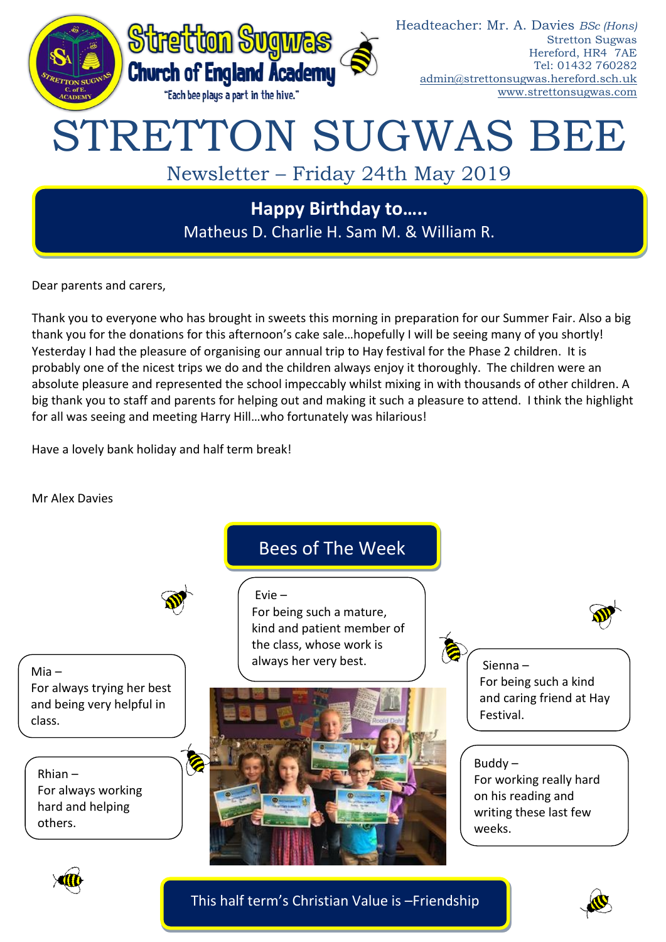

Dear parents and carers,

Thank you to everyone who has brought in sweets this morning in preparation for our Summer Fair. Also a big thank you for the donations for this afternoon's cake sale…hopefully I will be seeing many of you shortly! Yesterday I had the pleasure of organising our annual trip to Hay festival for the Phase 2 children. It is probably one of the nicest trips we do and the children always enjoy it thoroughly. The children were an absolute pleasure and represented the school impeccably whilst mixing in with thousands of other children. A big thank you to staff and parents for helping out and making it such a pleasure to attend. I think the highlight for all was seeing and meeting Harry Hill…who fortunately was hilarious!

Have a lovely bank holiday and half term break!

Mr Alex Davies



This half term's Christian Value is –Friendship